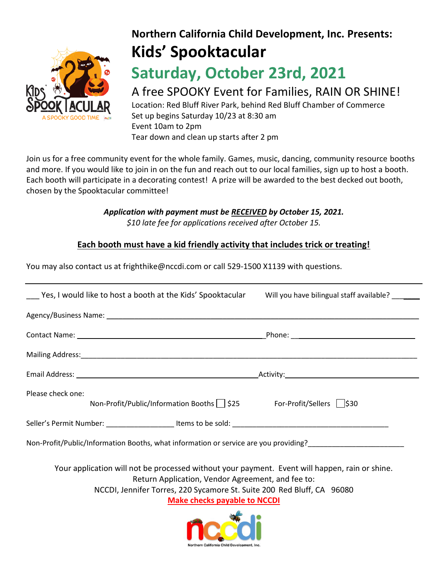

# **Northern California Child Development, Inc. Presents: Kids' Spooktacular**

## **Saturday, October 23rd, 2021**

## A free SPOOKY Event for Families, RAIN OR SHINE!

Location: Red Bluff River Park, behind Red Bluff Chamber of Commerce Set up begins Saturday 10/23 at 8:30 am Event 10am to 2pm Tear down and clean up starts after 2 pm

Join us for a free community event for the whole family. Games, music, dancing, community resource booths and more. If you would like to join in on the fun and reach out to our local families, sign up to host a booth. Each booth will participate in a decorating contest! A prize will be awarded to the best decked out booth, chosen by the Spooktacular committee!

> *Application with payment must be RECEIVED by October 15, 2021. \$10 late fee for applications received after October 15.*

#### **Each booth must have a kid friendly activity that includes trick or treating!**

You may also contact us at frighthike@nccdi.com or call 529-1500 X1139 with questions.

| Yes, I would like to host a booth at the Kids' Spooktacular                                                                                                                                                                                                          | Will you have bilingual staff available? ____ |  |
|----------------------------------------------------------------------------------------------------------------------------------------------------------------------------------------------------------------------------------------------------------------------|-----------------------------------------------|--|
|                                                                                                                                                                                                                                                                      |                                               |  |
|                                                                                                                                                                                                                                                                      |                                               |  |
|                                                                                                                                                                                                                                                                      |                                               |  |
|                                                                                                                                                                                                                                                                      |                                               |  |
| Please check one:<br>Non-Profit/Public/Information Booths   525 For-Profit/Sellers   530                                                                                                                                                                             |                                               |  |
|                                                                                                                                                                                                                                                                      |                                               |  |
| Non-Profit/Public/Information Booths, what information or service are you providing?<br>2020 - The Control of State Line and State Line and State Line and State Line and State Line and State Line a                                                                |                                               |  |
| Your application will not be processed without your payment. Event will happen, rain or shine.<br>Return Application, Vendor Agreement, and fee to:<br>NCCDI, Jennifer Torres, 220 Sycamore St. Suite 200 Red Bluff, CA 96080<br><b>Make checks payable to NCCDI</b> |                                               |  |
| Northern California Child Development, Inc.                                                                                                                                                                                                                          |                                               |  |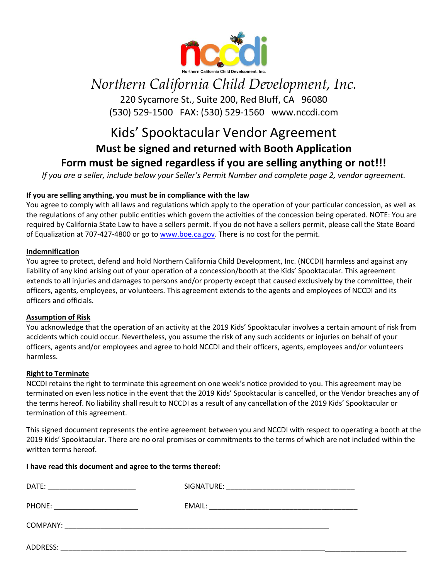

## *Northern California Child Development, Inc.*

220 Sycamore St., Suite 200, Red Bluff, CA 96080 (530) 529-1500 FAX: (530) 529-1560 www.nccdi.com

### Kids' Spooktacular Vendor Agreement **Must be signed and returned with Booth Application Form must be signed regardless if you are selling anything or not!!!**

*If you are a seller, include below your Seller's Permit Number and complete page 2, vendor agreement.*

#### **If you are selling anything, you must be in compliance with the law**

You agree to comply with all laws and regulations which apply to the operation of your particular concession, as well as the regulations of any other public entities which govern the activities of the concession being operated. NOTE: You are required by California State Law to have a sellers permit. If you do not have a sellers permit, please call the State Board of Equalization at 707-427-4800 or go to [www.boe.ca.gov.](http://www.boe.ca.gov/) There is no cost for the permit.

#### **Indemnification**

You agree to protect, defend and hold Northern California Child Development, Inc. (NCCDI) harmless and against any liability of any kind arising out of your operation of a concession/booth at the Kids' Spooktacular. This agreement extends to all injuries and damages to persons and/or property except that caused exclusively by the committee, their officers, agents, employees, or volunteers. This agreement extends to the agents and employees of NCCDI and its officers and officials.

#### **Assumption of Risk**

You acknowledge that the operation of an activity at the 2019 Kids' Spooktacular involves a certain amount of risk from accidents which could occur. Nevertheless, you assume the risk of any such accidents or injuries on behalf of your officers, agents and/or employees and agree to hold NCCDI and their officers, agents, employees and/or volunteers harmless.

#### **Right to Terminate**

NCCDI retains the right to terminate this agreement on one week's notice provided to you. This agreement may be terminated on even less notice in the event that the 2019 Kids' Spooktacular is cancelled, or the Vendor breaches any of the terms hereof. No liability shall result to NCCDI as a result of any cancellation of the 2019 Kids' Spooktacular or termination of this agreement.

This signed document represents the entire agreement between you and NCCDI with respect to operating a booth at the 2019 Kids' Spooktacular. There are no oral promises or commitments to the terms of which are not included within the written terms hereof.

#### **I have read this document and agree to the terms thereof:**

| DATE:    | SIGNATURE:                                                                                                                                                                                                                    |
|----------|-------------------------------------------------------------------------------------------------------------------------------------------------------------------------------------------------------------------------------|
|          | <u> 1989 - Johann Stein, marwolaethau a bhann an t-Amhain an t-Amhain an t-Amhain an t-Amhain an t-Amhain an t-A</u>                                                                                                          |
| PHONE:   | EMAIL:                                                                                                                                                                                                                        |
|          | the control of the control of the control of the control of the control of the control of the control of the control of the control of the control of the control of the control of the control of the control of the control |
| COMPANY: |                                                                                                                                                                                                                               |
| ADDRESS: |                                                                                                                                                                                                                               |